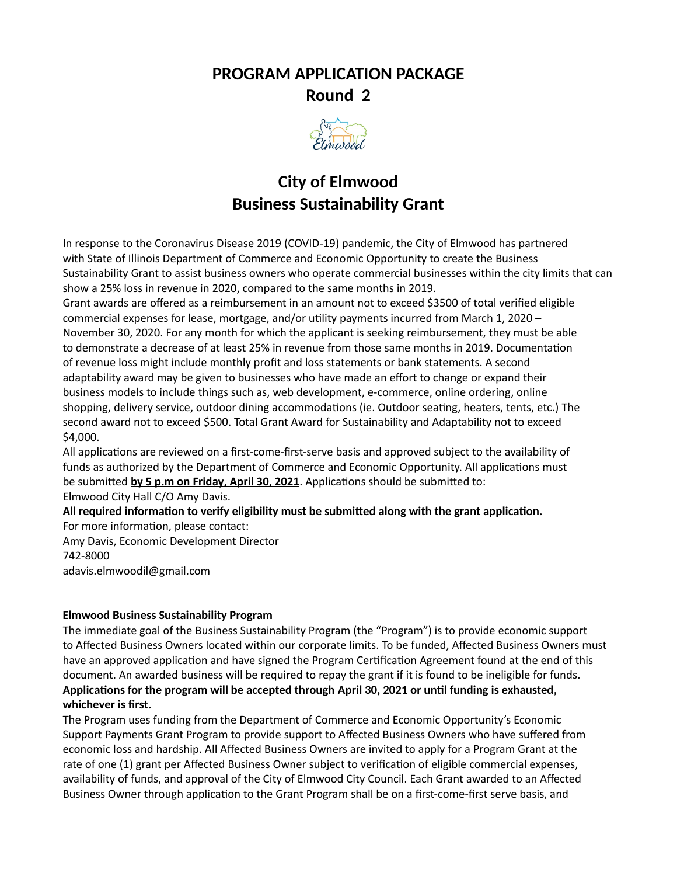# **PROGRAM APPLICATION PACKAGE Round 2**



# **City of Elmwood Business Sustainability Grant**

In response to the Coronavirus Disease 2019 (COVID-19) pandemic, the City of Elmwood has partnered with State of Illinois Department of Commerce and Economic Opportunity to create the Business Sustainability Grant to assist business owners who operate commercial businesses within the city limits that can show a 25% loss in revenue in 2020, compared to the same months in 2019.

Grant awards are offered as a reimbursement in an amount not to exceed \$3500 of total verified eligible commercial expenses for lease, mortgage, and/or utility payments incurred from March 1, 2020 – November 30, 2020. For any month for which the applicant is seeking reimbursement, they must be able to demonstrate a decrease of at least 25% in revenue from those same months in 2019. Documentation of revenue loss might include monthly profit and loss statements or bank statements. A second adaptability award may be given to businesses who have made an effort to change or expand their business models to include things such as, web development, e-commerce, online ordering, online shopping, delivery service, outdoor dining accommodations (ie. Outdoor seating, heaters, tents, etc.) The second award not to exceed \$500. Total Grant Award for Sustainability and Adaptability not to exceed \$4,000.

All applications are reviewed on a first-come-first-serve basis and approved subject to the availability of funds as authorized by the Department of Commerce and Economic Opportunity. All applications must be submitted **by 5 p.m on Friday , April 30, 202 1**. Applications should be submitted to:

Elmwood City Hall C/O Amy Davis.

**All required information to verify eligibility must be submitted along with the grant application.** For more information, please contact:

Amy Davis, Economic Development Director 742-8000

[adavis.elmwoodil@gmail.com](mailto:adavis.elmwoodil@gmail.com)

## **Elmwood Business Sustainability Program**

The immediate goal of the Business Sustainability Program (the "Program") is to provide economic support to Affected Business Owners located within our corporate limits. To be funded, Affected Business Owners must have an approved application and have signed the Program Certification Agreement found at the end of this document. An awarded business will be required to repay the grant if it is found to be ineligible for funds. **Applications for the program will be accepted through April 30, 2021 or until funding is exhausted, whichever is first.**

The Program uses funding from the Department of Commerce and Economic Opportunity's Economic Support Payments Grant Program to provide support to Affected Business Owners who have suffered from economic loss and hardship. All Affected Business Owners are invited to apply for a Program Grant at the rate of one (1) grant per Affected Business Owner subject to verification of eligible commercial expenses, availability of funds, and approval of the City of Elmwood City Council. Each Grant awarded to an Affected Business Owner through application to the Grant Program shall be on a first-come-first serve basis, and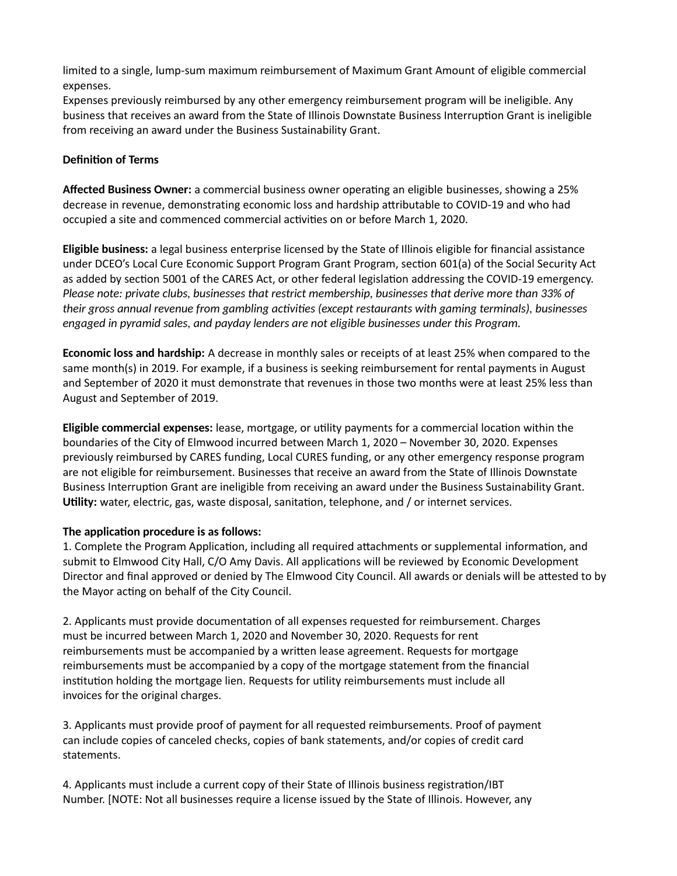limited to a single, lump-sum maximum reimbursement of Maximum Grant Amount of eligible commercial expenses.

Expenses previously reimbursed by any other emergency reimbursement program will be ineligible. Any business that receives an award from the State of Illinois Downstate Business Interruption Grant is ineligible from receiving an award under the Business Sustainability Grant.

## **Definition of Terms**

**Affected Business Owner:** a commercial business owner operating an eligible businesses, showing a 25% decrease in revenue, demonstrating economic loss and hardship attributable to COVID-19 and who had occupied a site and commenced commercial activities on or before March 1, 2020.

**Eligible business:** a legal business enterprise licensed by the State of Illinois eligible for financial assistance under DCEO's Local Cure Economic Support Program Grant Program, section 601(a) of the Social Security Act as added by section 5001 of the CARES Act, or other federal legislation addressing the COVID-19 emergency. *Please note: private clubs, businesses that restrict membership, businesses that derive more than 33% of their gross annual revenue from gambling activities (except restaurants with gaming terminals), businesses engaged in pyramid sales, and payday lenders are not eligible businesses under this Program.*

**Economic loss and hardship:** A decrease in monthly sales or receipts of at least 25% when compared to the same month(s) in 2019. For example, if a business is seeking reimbursement for rental payments in August and September of 2020 it must demonstrate that revenues in those two months were at least 25% less than August and September of 2019.

**Eligible commercial expenses:** lease, mortgage, or utility payments for a commercial location within the boundaries of the City of Elmwood incurred between March 1, 2020 – November 30, 2020. Expenses previously reimbursed by CARES funding, Local CURES funding, or any other emergency response program are not eligible for reimbursement. Businesses that receive an award from the State of Illinois Downstate Business Interruption Grant are ineligible from receiving an award under the Business Sustainability Grant. **Utility:** water, electric, gas, waste disposal, sanitation, telephone, and / or internet services.

## **The application procedure is as follows:**

1. Complete the Program Application, including all required attachments or supplemental information, and submit to Elmwood City Hall, C/O Amy Davis. All applications will be reviewed by Economic Development Director and final approved or denied by The Elmwood City Council. All awards or denials will be attested to by the Mayor acting on behalf of the City Council.

2. Applicants must provide documentation of all expenses requested for reimbursement. Charges must be incurred between March 1, 2020 and November 30, 2020. Requests for rent reimbursements must be accompanied by a written lease agreement. Requests for mortgage reimbursements must be accompanied by a copy of the mortgage statement from the financial institution holding the mortgage lien. Requests for utility reimbursements must include all invoices for the original charges.

3. Applicants must provide proof of payment for all requested reimbursements. Proof of payment can include copies of canceled checks, copies of bank statements, and/or copies of credit card statements.

4. Applicants must include a current copy of their State of Illinois business registration/IBT Number. [NOTE: Not all businesses require a license issued by the State of Illinois. However, any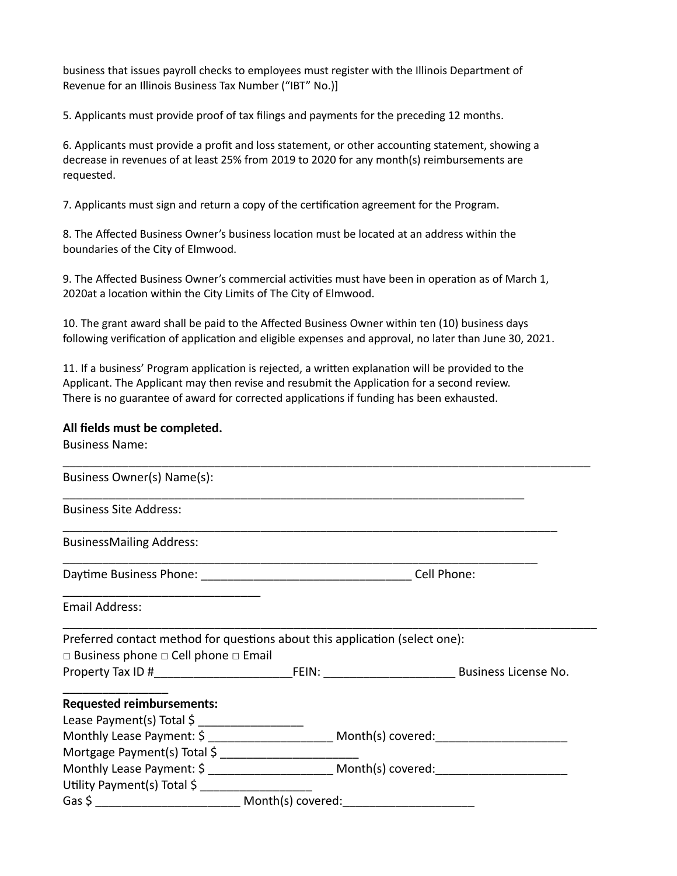business that issues payroll checks to employees must register with the Illinois Department of Revenue for an Illinois Business Tax Number ("IBT" No.)]

5. Applicants must provide proof of tax filings and payments for the preceding 12 months.

6. Applicants must provide a profit and loss statement, or other accounting statement, showing a decrease in revenues of at least 25% from 2019 to 2020 for any month(s) reimbursements are requested.

7. Applicants must sign and return a copy of the certification agreement for the Program.

8. The Affected Business Owner's business location must be located at an address within the boundaries of the City of Elmwood.

9. The Affected Business Owner's commercial activities must have been in operation as of March 1, 2020at a location within the City Limits of The City of Elmwood.

10. The grant award shall be paid to the Affected Business Owner within ten (10) business days following verification of application and eligible expenses and approval, no later than June 30, 2021.

11. If a business' Program application is rejected, a written explanation will be provided to the Applicant. The Applicant may then revise and resubmit the Application for a second review. There is no guarantee of award for corrected applications if funding has been exhausted.

## **All fields must be completed.**

| <b>Business Name:</b>                                                       |                                                                                                      |
|-----------------------------------------------------------------------------|------------------------------------------------------------------------------------------------------|
| Business Owner(s) Name(s):                                                  |                                                                                                      |
| <b>Business Site Address:</b>                                               |                                                                                                      |
| <b>BusinessMailing Address:</b>                                             |                                                                                                      |
|                                                                             | Cell Phone:                                                                                          |
| Email Address:                                                              |                                                                                                      |
| Preferred contact method for questions about this application (select one): |                                                                                                      |
| $\Box$ Business phone $\Box$ Cell phone $\Box$ Email                        |                                                                                                      |
|                                                                             |                                                                                                      |
| <b>Requested reimbursements:</b>                                            |                                                                                                      |
|                                                                             |                                                                                                      |
|                                                                             |                                                                                                      |
|                                                                             |                                                                                                      |
|                                                                             | Monthly Lease Payment: \$ ________________________ Month(s) covered: _______________________________ |
| Utility Payment(s) Total \$                                                 |                                                                                                      |
|                                                                             |                                                                                                      |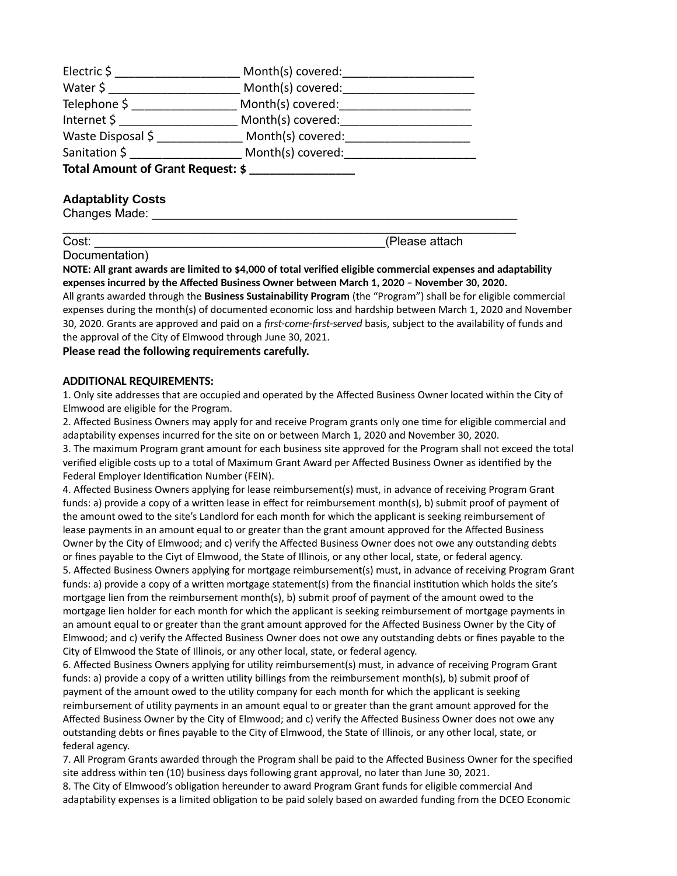| Electric \$                       | Month(s) covered: |  |
|-----------------------------------|-------------------|--|
| Water \$                          | Month(s) covered: |  |
| Telephone \$                      | Month(s) covered: |  |
| Internet \$                       | Month(s) covered: |  |
| Waste Disposal \$                 | Month(s) covered: |  |
| Sanitation \$                     | Month(s) covered: |  |
| Total Amount of Grant Request: \$ |                   |  |

## **Adaptablity Costs**

Changes Made:

Cost: **Cost: Cost: Cost: Cost: Cost: Cost: Cost: Cost: Cost: Cost: Cost: Cost: Cost: Cost: Cost: Cost: Cost: Cost: Cost: Cost: Cost: Cost: Cost: Cost: Cost: Cost: Cost:**

Documentation)

**NOTE: All grant awards are limited to \$4,000 of total verified eligible commercial expenses and adaptability expenses incurred by the Affected Business Owner between March 1, 2020 – November 30, 2020.**

 $\mathcal{L}_\text{max}$  and  $\mathcal{L}_\text{max}$  and  $\mathcal{L}_\text{max}$  and  $\mathcal{L}_\text{max}$  and  $\mathcal{L}_\text{max}$  and  $\mathcal{L}_\text{max}$ 

All grants awarded through the **Business Sustainability Program** (the "Program") shall be for eligible commercial expenses during the month(s) of documented economic loss and hardship between March 1, 2020 and November 30, 2020. Grants are approved and paid on a *first-come-first-served* basis, subject to the availability of funds and the approval of the City of Elmwood through June 30, 2021.

**Please read the following requirements carefully.**

#### **ADDITIONAL REQUIREMENTS:**

1. Only site addresses that are occupied and operated by the Affected Business Owner located within the City of Elmwood are eligible for the Program.

2. Affected Business Owners may apply for and receive Program grants only one time for eligible commercial and adaptability expenses incurred for the site on or between March 1, 2020 and November 30, 2020. 3. The maximum Program grant amount for each business site approved for the Program shall not exceed the total

verified eligible costs up to a total of Maximum Grant Award per Affected Business Owner as identified by the Federal Employer Identification Number (FEIN).

4. Affected Business Owners applying for lease reimbursement(s) must, in advance of receiving Program Grant funds: a) provide a copy of a written lease in effect for reimbursement month(s), b) submit proof of payment of the amount owed to the site's Landlord for each month for which the applicant is seeking reimbursement of lease payments in an amount equal to or greater than the grant amount approved for the Affected Business Owner by the City of Elmwood; and c) verify the Affected Business Owner does not owe any outstanding debts or fines payable to the Ciyt of Elmwood, the State of Illinois, or any other local, state, or federal agency. 5. Affected Business Owners applying for mortgage reimbursement(s) must, in advance of receiving Program Grant funds: a) provide a copy of a written mortgage statement(s) from the financial institution which holds the site's mortgage lien from the reimbursement month(s), b) submit proof of payment of the amount owed to the mortgage lien holder for each month for which the applicant is seeking reimbursement of mortgage payments in an amount equal to or greater than the grant amount approved for the Affected Business Owner by the City of Elmwood; and c) verify the Affected Business Owner does not owe any outstanding debts or fines payable to the City of Elmwood the State of Illinois, or any other local, state, or federal agency.

6. Affected Business Owners applying for utility reimbursement(s) must, in advance of receiving Program Grant funds: a) provide a copy of a written utility billings from the reimbursement month(s), b) submit proof of payment of the amount owed to the utility company for each month for which the applicant is seeking reimbursement of utility payments in an amount equal to or greater than the grant amount approved for the Affected Business Owner by the City of Elmwood; and c) verify the Affected Business Owner does not owe any outstanding debts or fines payable to the City of Elmwood, the State of Illinois, or any other local, state, or federal agency.

7. All Program Grants awarded through the Program shall be paid to the Affected Business Owner for the specified site address within ten (10) business days following grant approval, no later than June 30, 2021.

8. The City of Elmwood's obligation hereunder to award Program Grant funds for eligible commercial And adaptability expenses is a limited obligation to be paid solely based on awarded funding from the DCEO Economic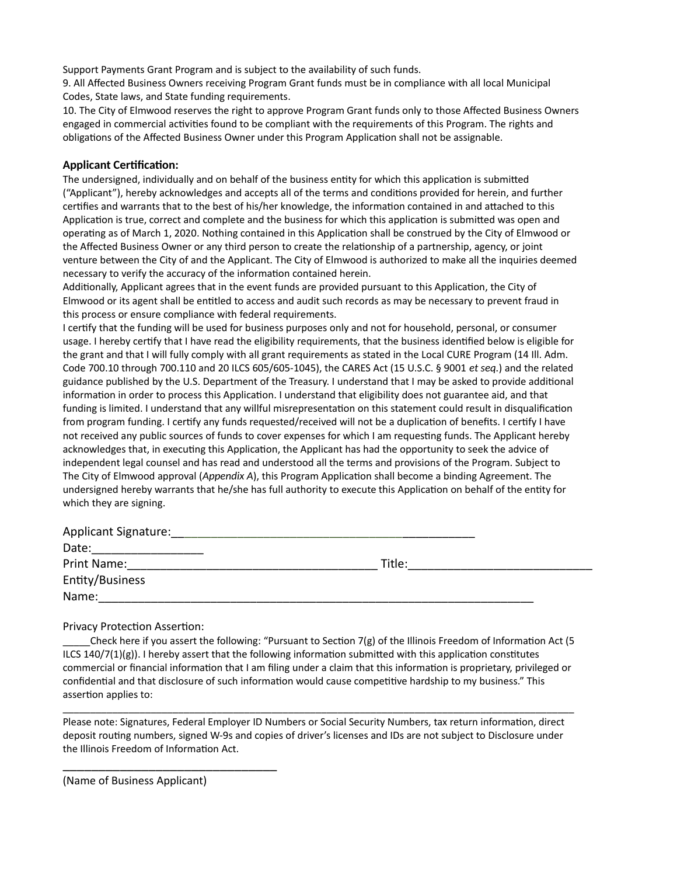Support Payments Grant Program and is subject to the availability of such funds.

9. All Affected Business Owners receiving Program Grant funds must be in compliance with all local Municipal Codes, State laws, and State funding requirements.

10. The City of Elmwood reserves the right to approve Program Grant funds only to those Affected Business Owners engaged in commercial activities found to be compliant with the requirements of this Program. The rights and obligations of the Affected Business Owner under this Program Application shall not be assignable.

#### **Applicant Certification:**

The undersigned, individually and on behalf of the business entity for which this application is submitted ("Applicant"), hereby acknowledges and accepts all of the terms and conditions provided for herein, and further certifies and warrants that to the best of his/her knowledge, the information contained in and attached to this Application is true, correct and complete and the business for which this application is submitted was open and operating as of March 1, 2020. Nothing contained in this Application shall be construed by the City of Elmwood or the Affected Business Owner or any third person to create the relationship of a partnership, agency, or joint venture between the City of and the Applicant. The City of Elmwood is authorized to make all the inquiries deemed necessary to verify the accuracy of the information contained herein.

Additionally, Applicant agrees that in the event funds are provided pursuant to this Application, the City of Elmwood or its agent shall be entitled to access and audit such records as may be necessary to prevent fraud in this process or ensure compliance with federal requirements.

I certify that the funding will be used for business purposes only and not for household, personal, or consumer usage. I hereby certify that I have read the eligibility requirements, that the business identified below is eligible for the grant and that I will fully comply with all grant requirements as stated in the Local CURE Program (14 Ill. Adm. Code 700.10 through 700.110 and 20 ILCS 605/605-1045), the CARES Act (15 U.S.C. § 9001 *et seq.*) and the related guidance published by the U.S. Department of the Treasury. I understand that I may be asked to provide additional information in order to process this Application. I understand that eligibility does not guarantee aid, and that funding is limited. I understand that any willful misrepresentation on this statement could result in disqualification from program funding. I certify any funds requested/received will not be a duplication of benefits. I certify I have not received any public sources of funds to cover expenses for which I am requesting funds. The Applicant hereby acknowledges that, in executing this Application, the Applicant has had the opportunity to seek the advice of independent legal counsel and has read and understood all the terms and provisions of the Program. Subject to The City of Elmwood approval (*Appendix A*), this Program Application shall become a binding Agreement. The undersigned hereby warrants that he/she has full authority to execute this Application on behalf of the entity for which they are signing.

| <b>Applicant Signature:</b> |        |  |
|-----------------------------|--------|--|
| Date:                       |        |  |
| Print Name:                 | Title: |  |
| Entity/Business             |        |  |
| Name:                       |        |  |

Privacy Protection Assertion:

Check here if you assert the following: "Pursuant to Section 7(g) of the Illinois Freedom of Information Act (5 ILCS  $140/7(1)(g)$ ). I hereby assert that the following information submitted with this application constitutes commercial or financial information that I am filing under a claim that this information is proprietary, privileged or confidential and that disclosure of such information would cause competitive hardship to my business." This assertion applies to:

Please note: Signatures, Federal Employer ID Numbers or Social Security Numbers, tax return information, direct deposit routing numbers, signed W-9s and copies of driver's licenses and IDs are not subject to Disclosure under the Illinois Freedom of Information Act.

\_\_\_\_\_\_\_\_\_\_\_\_\_\_\_\_\_\_\_\_\_\_\_\_\_\_\_\_\_\_\_\_\_\_\_\_\_\_\_\_\_\_\_\_\_\_\_\_\_\_\_\_\_\_\_\_\_\_\_\_\_\_\_\_\_\_\_\_\_\_\_\_\_\_\_\_\_\_\_\_\_\_\_\_\_\_\_\_\_\_\_\_\_

(Name of Business Applicant)

\_\_\_\_\_\_\_\_\_\_\_\_\_\_\_\_\_\_\_\_\_\_\_\_\_\_\_\_\_\_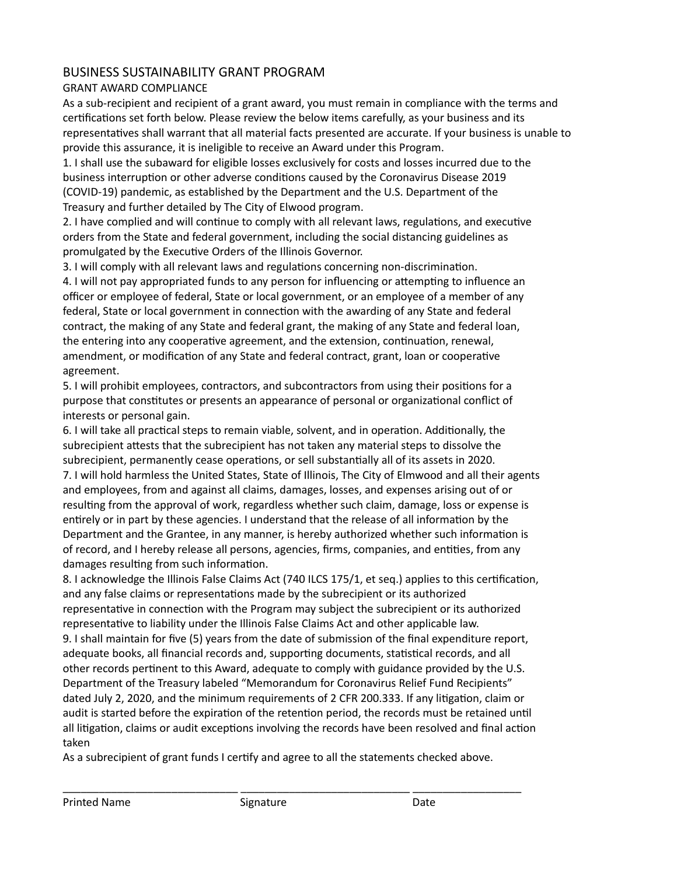# BUSINESS SUSTAINABILITY GRANT PROGRAM

## GRANT AWARD COMPLIANCE

As a sub-recipient and recipient of a grant award, you must remain in compliance with the terms and certifications set forth below. Please review the below items carefully, as your business and its representatives shall warrant that all material facts presented are accurate. If your business is unable to provide this assurance, it is ineligible to receive an Award under this Program.

1. I shall use the subaward for eligible losses exclusively for costs and losses incurred due to the business interruption or other adverse conditions caused by the Coronavirus Disease 2019 (COVID-19) pandemic, as established by the Department and the U.S. Department of the Treasury and further detailed by The City of Elwood program.

2. I have complied and will continue to comply with all relevant laws, regulations, and executive orders from the State and federal government, including the social distancing guidelines as promulgated by the Executive Orders of the Illinois Governor.

3. I will comply with all relevant laws and regulations concerning non-discrimination.

4. I will not pay appropriated funds to any person for influencing or attempting to influence an officer or employee of federal, State or local government, or an employee of a member of any federal, State or local government in connection with the awarding of any State and federal contract, the making of any State and federal grant, the making of any State and federal loan, the entering into any cooperative agreement, and the extension, continuation, renewal, amendment, or modification of any State and federal contract, grant, loan or cooperative agreement.

5. I will prohibit employees, contractors, and subcontractors from using their positions for a purpose that constitutes or presents an appearance of personal or organizational conflict of interests or personal gain.

6. I will take all practical steps to remain viable, solvent, and in operation. Additionally, the subrecipient attests that the subrecipient has not taken any material steps to dissolve the subrecipient, permanently cease operations, or sell substantially all of its assets in 2020. 7. I will hold harmless the United States, State of Illinois, The City of Elmwood and all their agents and employees, from and against all claims, damages, losses, and expenses arising out of or resulting from the approval of work, regardless whether such claim, damage, loss or expense is entirely or in part by these agencies. I understand that the release of all information by the Department and the Grantee, in any manner, is hereby authorized whether such information is of record, and I hereby release all persons, agencies, firms, companies, and entities, from any damages resulting from such information.

8. I acknowledge the Illinois False Claims Act (740 ILCS 175/1, et seq.) applies to this certification, and any false claims or representations made by the subrecipient or its authorized representative in connection with the Program may subject the subrecipient or its authorized representative to liability under the Illinois False Claims Act and other applicable law. 9. I shall maintain for five (5) years from the date of submission of the final expenditure report, adequate books, all financial records and, supporting documents, statistical records, and all other records pertinent to this Award, adequate to comply with guidance provided by the U.S. Department of the Treasury labeled "Memorandum for Coronavirus Relief Fund Recipients" dated July 2, 2020, and the minimum requirements of 2 CFR 200.333. If any litigation, claim or audit is started before the expiration of the retention period, the records must be retained until all litigation, claims or audit exceptions involving the records have been resolved and final action taken

As a subrecipient of grant funds I certify and agree to all the statements checked above.

\_\_\_\_\_\_\_\_\_\_\_\_\_\_\_\_\_\_\_\_\_\_\_\_\_\_\_\_\_ \_\_\_\_\_\_\_\_\_\_\_\_\_\_\_\_\_\_\_\_\_\_\_\_\_\_\_\_ \_\_\_\_\_\_\_\_\_\_\_\_\_\_\_\_\_\_